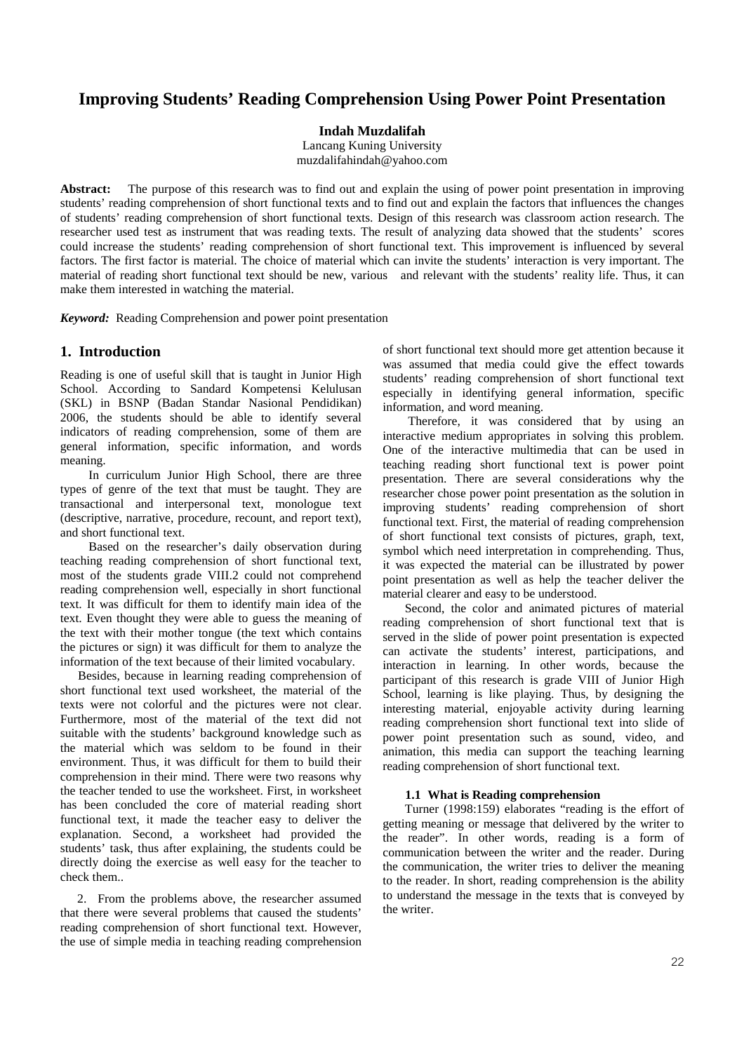# **Improving Students' Reading Comprehension Using Power Point Presentation**

**Indah Muzdalifah**

Lancang Kuning University muzdalifahindah@yahoo.com

**Abstract:** The purpose of this research was to find out and explain the using of power point presentation in improving students' reading comprehension of short functional texts and to find out and explain the factors that influences the changes of students' reading comprehension of short functional texts. Design of this research was classroom action research. The researcher used test as instrument that was reading texts. The result of analyzing data showed that the students' scores could increase the students' reading comprehension of short functional text. This improvement is influenced by several factors. The first factor is material. The choice of material which can invite the students' interaction is very important. The material of reading short functional text should be new, various and relevant with the students' reality life. Thus, it can make them interested in watching the material.

*Keyword:* Reading Comprehension and power point presentation

# **1. Introduction**

Reading is one of useful skill that is taught in Junior High School. According to Sandard Kompetensi Kelulusan (SKL) in BSNP (Badan Standar Nasional Pendidikan) 2006, the students should be able to identify several indicators of reading comprehension, some of them are general information, specific information, and words meaning.

In curriculum Junior High School, there are three types of genre of the text that must be taught. They are transactional and interpersonal text, monologue text (descriptive, narrative, procedure, recount, and report text), and short functional text.

Based on the researcher's daily observation during teaching reading comprehension of short functional text, most of the students grade VIII.2 could not comprehend reading comprehension well, especially in short functional text. It was difficult for them to identify main idea of the text. Even thought they were able to guess the meaning of the text with their mother tongue (the text which contains the pictures or sign) it was difficult for them to analyze the information of the text because of their limited vocabulary.

Besides, because in learning reading comprehension of short functional text used worksheet, the material of the texts were not colorful and the pictures were not clear. Furthermore, most of the material of the text did not suitable with the students' background knowledge such as the material which was seldom to be found in their environment. Thus, it was difficult for them to build their comprehension in their mind. There were two reasons why the teacher tended to use the worksheet. First, in worksheet has been concluded the core of material reading short functional text, it made the teacher easy to deliver the explanation. Second, a worksheet had provided the students' task, thus after explaining, the students could be directly doing the exercise as well easy for the teacher to check them..

2. From the problems above, the researcher assumed that there were several problems that caused the students' reading comprehension of short functional text. However, the use of simple media in teaching reading comprehension of short functional text should more get attention because it was assumed that media could give the effect towards students' reading comprehension of short functional text especially in identifying general information, specific information, and word meaning.

Therefore, it was considered that by using an interactive medium appropriates in solving this problem. One of the interactive multimedia that can be used in teaching reading short functional text is power point presentation. There are several considerations why the researcher chose power point presentation as the solution in improving students' reading comprehension of short functional text. First, the material of reading comprehension of short functional text consists of pictures, graph, text, symbol which need interpretation in comprehending. Thus, it was expected the material can be illustrated by power point presentation as well as help the teacher deliver the material clearer and easy to be understood.

Second, the color and animated pictures of material reading comprehension of short functional text that is served in the slide of power point presentation is expected can activate the students' interest, participations, and interaction in learning. In other words, because the participant of this research is grade VIII of Junior High School, learning is like playing. Thus, by designing the interesting material, enjoyable activity during learning reading comprehension short functional text into slide of power point presentation such as sound, video, and animation, this media can support the teaching learning reading comprehension of short functional text.

#### **1.1 What is Reading comprehension**

Turner (1998:159) elaborates "reading is the effort of getting meaning or message that delivered by the writer to the reader". In other words, reading is a form of communication between the writer and the reader. During the communication, the writer tries to deliver the meaning to the reader. In short, reading comprehension is the ability to understand the message in the texts that is conveyed by the writer.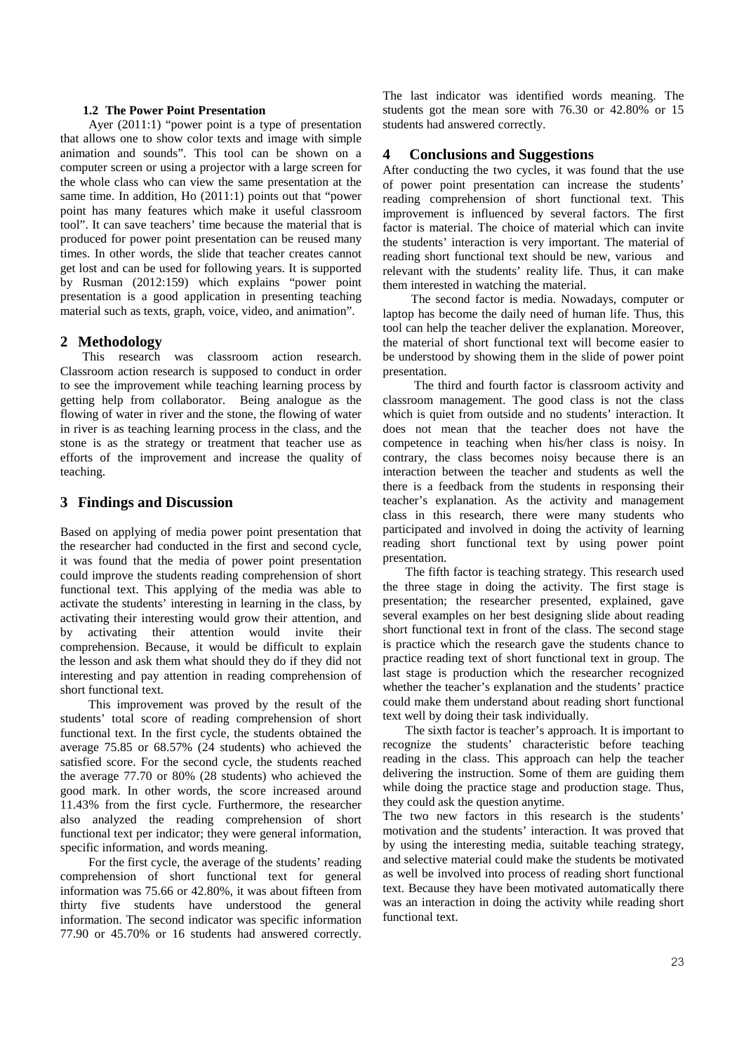#### **1.2 The Power Point Presentation**

Ayer (2011:1) "power point is a type of presentation that allows one to show color texts and image with simple animation and sounds". This tool can be shown on a computer screen or using a projector with a large screen for the whole class who can view the same presentation at the same time. In addition, Ho (2011:1) points out that "power point has many features which make it useful classroom tool". It can save teachers' time because the material that is produced for power point presentation can be reused many times. In other words, the slide that teacher creates cannot get lost and can be used for following years. It is supported by Rusman (2012:159) which explains "power point presentation is a good application in presenting teaching material such as texts, graph, voice, video, and animation".

# **2 Methodology**

This research was classroom action research. Classroom action research is supposed to conduct in order to see the improvement while teaching learning process by getting help from collaborator. Being analogue as the flowing of water in river and the stone, the flowing of water in river is as teaching learning process in the class, and the stone is as the strategy or treatment that teacher use as efforts of the improvement and increase the quality of teaching.

## **3 Findings and Discussion**

Based on applying of media power point presentation that the researcher had conducted in the first and second cycle, it was found that the media of power point presentation could improve the students reading comprehension of short functional text. This applying of the media was able to activate the students' interesting in learning in the class, by activating their interesting would grow their attention, and by activating their attention would invite their comprehension. Because, it would be difficult to explain the lesson and ask them what should they do if they did not interesting and pay attention in reading comprehension of short functional text.

This improvement was proved by the result of the students' total score of reading comprehension of short functional text. In the first cycle, the students obtained the average 75.85 or 68.57% (24 students) who achieved the satisfied score. For the second cycle, the students reached the average 77.70 or 80% (28 students) who achieved the good mark. In other words, the score increased around 11.43% from the first cycle. Furthermore, the researcher also analyzed the reading comprehension of short functional text per indicator; they were general information, specific information, and words meaning.

For the first cycle, the average of the students' reading comprehension of short functional text for general information was 75.66 or 42.80%, it was about fifteen from thirty five students have understood the general information. The second indicator was specific information 77.90 or 45.70% or 16 students had answered correctly. The last indicator was identified words meaning. The students got the mean sore with 76.30 or 42.80% or 15 students had answered correctly.

## **4 Conclusions and Suggestions**

After conducting the two cycles, it was found that the use of power point presentation can increase the students' reading comprehension of short functional text. This improvement is influenced by several factors. The first factor is material. The choice of material which can invite the students' interaction is very important. The material of reading short functional text should be new, various and relevant with the students' reality life. Thus, it can make them interested in watching the material.

The second factor is media. Nowadays, computer or laptop has become the daily need of human life. Thus, this tool can help the teacher deliver the explanation. Moreover, the material of short functional text will become easier to be understood by showing them in the slide of power point presentation.

The third and fourth factor is classroom activity and classroom management. The good class is not the class which is quiet from outside and no students' interaction. It does not mean that the teacher does not have the competence in teaching when his/her class is noisy. In contrary, the class becomes noisy because there is an interaction between the teacher and students as well the there is a feedback from the students in responsing their teacher's explanation. As the activity and management class in this research, there were many students who participated and involved in doing the activity of learning reading short functional text by using power point presentation.

The fifth factor is teaching strategy. This research used the three stage in doing the activity. The first stage is presentation; the researcher presented, explained, gave several examples on her best designing slide about reading short functional text in front of the class. The second stage is practice which the research gave the students chance to practice reading text of short functional text in group. The last stage is production which the researcher recognized whether the teacher's explanation and the students' practice could make them understand about reading short functional text well by doing their task individually.

The sixth factor is teacher's approach. It is important to recognize the students' characteristic before teaching reading in the class. This approach can help the teacher delivering the instruction. Some of them are guiding them while doing the practice stage and production stage. Thus, they could ask the question anytime.

The two new factors in this research is the students' motivation and the students' interaction. It was proved that by using the interesting media, suitable teaching strategy, and selective material could make the students be motivated as well be involved into process of reading short functional text. Because they have been motivated automatically there was an interaction in doing the activity while reading short functional text.